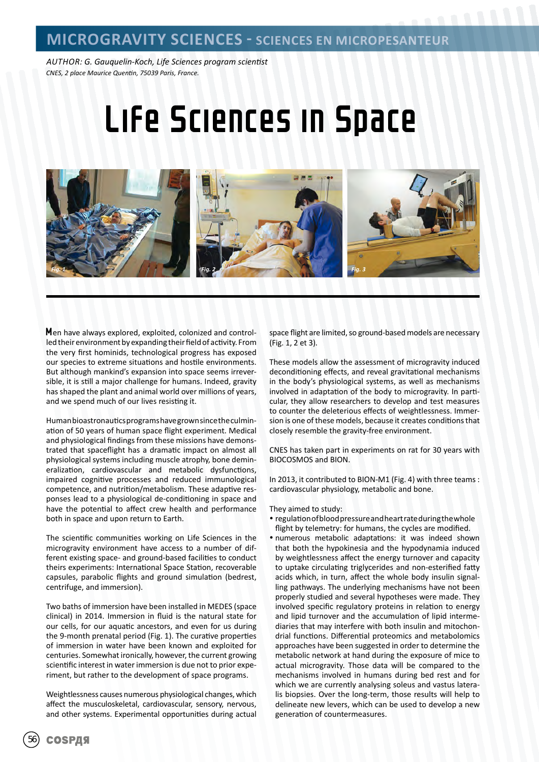*AUTHOR: G. Gauquelin-Koch, Life Sciences program scientist CNES, 2 place Maurice Quentin, 75039 Paris, France.*

# Life Sciences in Space



Men have always explored, exploited, colonized and controlled their environment by expanding their field of activity. From the very first hominids, technological progress has exposed our species to extreme situations and hostile environments. But although mankind's expansion into space seems irreversible, it is still a major challenge for humans. Indeed, gravity has shaped the plant and animal world over millions of years, and we spend much of our lives resisting it.

Human bioastronautics programs have grown since the culmination of 50 years of human space flight experiment. Medical and physiological findings from these missions have demonstrated that spaceflight has a dramatic impact on almost all physiological systems including muscle atrophy, bone demineralization, cardiovascular and metabolic dysfunctions, impaired cognitive processes and reduced immunological competence, and nutrition/metabolism. These adaptive responses lead to a physiological de-conditioning in space and have the potential to affect crew health and performance both in space and upon return to Earth.

The scientific communities working on Life Sciences in the microgravity environment have access to a number of different existing space- and ground-based facilities to conduct theirs experiments: International Space Station, recoverable capsules, parabolic flights and ground simulation (bedrest, centrifuge, and immersion).

Two baths of immersion have been installed in MEDES (space clinical) in 2014. Immersion in fluid is the natural state for our cells, for our aquatic ancestors, and even for us during the 9-month prenatal period (Fig. 1). The curative properties of immersion in water have been known and exploited for centuries. Somewhat ironically, however, the current growing scientific interest in water immersion is due not to prior experiment, but rather to the development of space programs.

Weightlessness causes numerous physiological changes, which affect the musculoskeletal, cardiovascular, sensory, nervous, and other systems. Experimental opportunities during actual

space flight are limited, so ground-based models are necessary (Fig. 1, 2 et 3).

These models allow the assessment of microgravity induced deconditioning effects, and reveal gravitational mechanisms in the body's physiological systems, as well as mechanisms involved in adaptation of the body to microgravity. In particular, they allow researchers to develop and test measures to counter the deleterious effects of weightlessness. Immersion is one of these models, because it creates conditions that closely resemble the gravity-free environment.

CNES has taken part in experiments on rat for 30 years with BIOCOSMOS and BION.

In 2013, it contributed to BION-M1 (Fig. 4) with three teams : cardiovascular physiology, metabolic and bone.

#### They aimed to study:

- regulation of blood pressure and heart rate during the whole flight by telemetry: for humans, the cycles are modified.
- numerous metabolic adaptations: it was indeed shown that both the hypokinesia and the hypodynamia induced by weightlessness affect the energy turnover and capacity to uptake circulating triglycerides and non-esterified fatty acids which, in turn, affect the whole body insulin signalling pathways. The underlying mechanisms have not been properly studied and several hypotheses were made. They involved specific regulatory proteins in relation to energy and lipid turnover and the accumulation of lipid intermediaries that may interfere with both insulin and mitochondrial functions. Differential proteomics and metabolomics approaches have been suggested in order to determine the metabolic network at hand during the exposure of mice to actual microgravity. Those data will be compared to the mechanisms involved in humans during bed rest and for which we are currently analysing soleus and vastus lateralis biopsies. Over the long-term, those results will help to delineate new levers, which can be used to develop a new generation of countermeasures.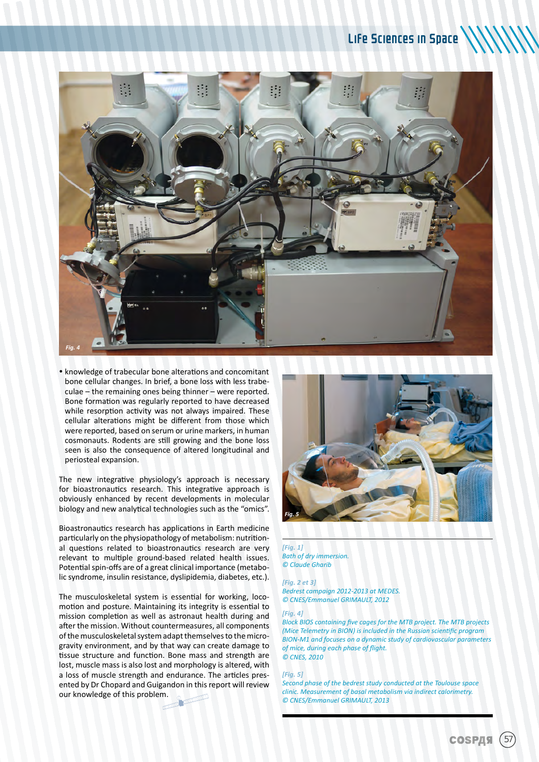

 knowledge of trabecular bone alterations and concomitant bone cellular changes. In brief, a bone loss with less trabeculae – the remaining ones being thinner – were reported. Bone formation was regularly reported to have decreased while resorption activity was not always impaired. These cellular alterations might be different from those which were reported, based on serum or urine markers, in human cosmonauts. Rodents are still growing and the bone loss seen is also the consequence of altered longitudinal and periosteal expansion.

The new integrative physiology's approach is necessary for bioastronautics research. This integrative approach is obviously enhanced by recent developments in molecular biology and new analytical technologies such as the "omics".

Bioastronautics research has applications in Earth medicine particularly on the physiopathology of metabolism: nutritional questions related to bioastronautics research are very relevant to multiple ground-based related health issues. Potential spin-offs are of a great clinical importance (metabolic syndrome, insulin resistance, dyslipidemia, diabetes, etc.).

The musculoskeletal system is essential for working, locomotion and posture. Maintaining its integrity is essential to mission completion as well as astronaut health during and after the mission. Without countermeasures, all components of the musculoskeletal system adapt themselves to the microgravity environment, and by that way can create damage to tissue structure and function. Bone mass and strength are lost, muscle mass is also lost and morphology is altered, with a loss of muscle strength and endurance. The articles presented by Dr Chopard and Guigandon in this report will review our knowledge of this problem.



#### *[Fig. 1] Bath of dry immersion. © Claude Gharib*

#### *[Fig. 2 et 3]*

*Bedrest campaign 2012-2013 at MEDES. © CNES/Emmanuel GRIMAULT, 2012*

#### *[Fig. 4]*

*Block BIOS containing five cages for the MTB project. The MTB projects (Mice Telemetry in BION) is included in the Russian scientific program BION-M1 and focuses on a dynamic study of cardiovascular parameters of mice, during each phase of flight. © CNES, 2010*

#### *[Fig. 5]*

*Second phase of the bedrest study conducted at the Toulouse space clinic. Measurement of basal metabolism via indirect calorimetry. © CNES/Emmanuel GRIMAULT, 2013*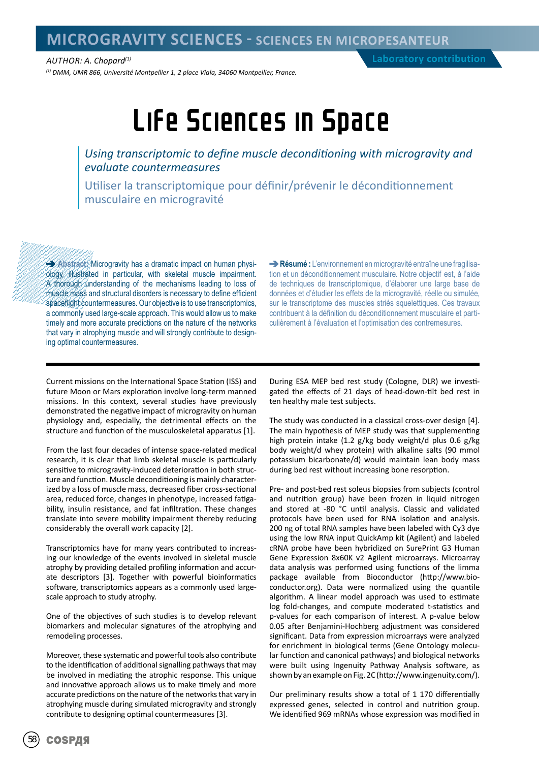### **MICROGRAVITY SCIENCES - SCIENCES EN MICROPESANTEUR**

*(1) DMM, UMR 866, Université Montpellier 1, 2 place Viala, 34060 Montpellier, France.*

## Life Sciences in Space

*Using transcriptomic to define muscle deconditioning with microgravity and evaluate countermeasures*

Utiliser la transcriptomique pour définir/prévenir le déconditionnement musculaire en microgravité

**Abstract:** Microgravity has a dramatic impact on human physiology, illustrated in particular, with skeletal muscle impairment. A thorough understanding of the mechanisms leading to loss of muscle mass and structural disorders is necessary to define efficient spaceflight countermeasures. Our objective is to use transcriptomics, a commonly used large-scale approach. This would allow us to make timely and more accurate predictions on the nature of the networks that vary in atrophying muscle and will strongly contribute to designing optimal countermeasures.

**Résumé :** L'environnement en microgravité entraîne une fragilisation et un déconditionnement musculaire. Notre objectif est, à l'aide de techniques de transcriptomique, d'élaborer une large base de données et d'étudier les effets de la microgravité, réelle ou simulée, sur le transcriptome des muscles striés squelettiques. Ces travaux contribuent à la définition du déconditionnement musculaire et particulièrement à l'évaluation et l'optimisation des contremesures.

Current missions on the International Space Station (ISS) and future Moon or Mars exploration involve long-term manned missions. In this context, several studies have previously demonstrated the negative impact of microgravity on human physiology and, especially, the detrimental effects on the structure and function of the musculoskeletal apparatus [1].

From the last four decades of intense space-related medical research, it is clear that limb skeletal muscle is particularly sensitive to microgravity-induced deterioration in both structure and function. Muscle deconditioning is mainly characterized by a loss of muscle mass, decreased fiber cross-sectional area, reduced force, changes in phenotype, increased fatigability, insulin resistance, and fat infiltration. These changes translate into severe mobility impairment thereby reducing considerably the overall work capacity [2].

Transcriptomics have for many years contributed to increasing our knowledge of the events involved in skeletal muscle atrophy by providing detailed profiling information and accurate descriptors [3]. Together with powerful bioinformatics software, transcriptomics appears as a commonly used largescale approach to study atrophy.

One of the objectives of such studies is to develop relevant biomarkers and molecular signatures of the atrophying and remodeling processes.

Moreover, these systematic and powerful tools also contribute to the identification of additional signalling pathways that may be involved in mediating the atrophic response. This unique and innovative approach allows us to make timely and more accurate predictions on the nature of the networks that vary in atrophying muscle during simulated microgravity and strongly contribute to designing optimal countermeasures [3].

During ESA MEP bed rest study (Cologne, DLR) we investigated the effects of 21 days of head-down-tilt bed rest in ten healthy male test subjects.

The study was conducted in a classical cross-over design [4]. The main hypothesis of MEP study was that supplementing high protein intake (1.2 g/kg body weight/d plus 0.6 g/kg body weight/d whey protein) with alkaline salts (90 mmol potassium bicarbonate/d) would maintain lean body mass during bed rest without increasing bone resorption.

Pre- and post-bed rest soleus biopsies from subjects (control and nutrition group) have been frozen in liquid nitrogen and stored at -80 °C until analysis. Classic and validated protocols have been used for RNA isolation and analysis. 200 ng of total RNA samples have been labeled with Cy3 dye using the low RNA input QuickAmp kit (Agilent) and labeled cRNA probe have been hybridized on SurePrint G3 Human Gene Expression 8x60K v2 Agilent microarrays. Microarray data analysis was performed using functions of the limma package available from Bioconductor (http://www.bioconductor.org). Data were normalized using the quantile algorithm. A linear model approach was used to estimate log fold-changes, and compute moderated t-statistics and p-values for each comparison of interest. A p-value below 0.05 after Benjamini-Hochberg adjustment was considered significant. Data from expression microarrays were analyzed for enrichment in biological terms (Gene Ontology molecular function and canonical pathways) and biological networks were built using Ingenuity Pathway Analysis software, as shown by an example on Fig. 2C (http://www.ingenuity.com/).

Our preliminary results show a total of 1 170 differentially expressed genes, selected in control and nutrition group. We identified 969 mRNAs whose expression was modified in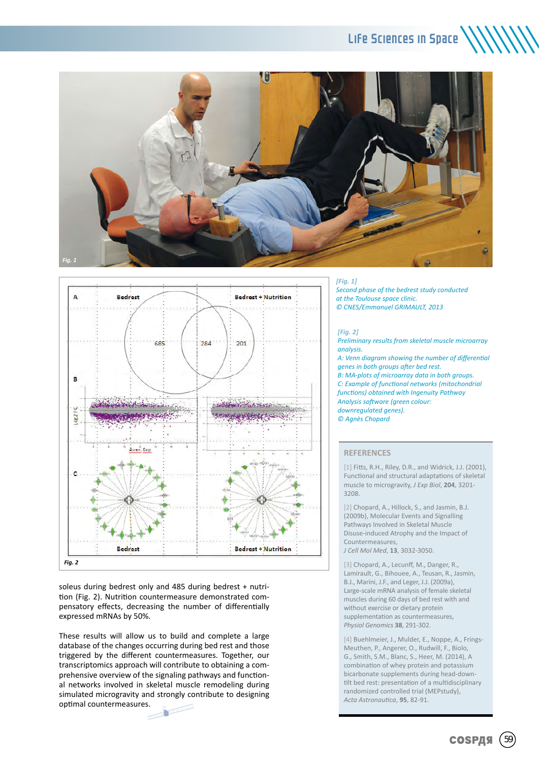### Life Sciences in Space





soleus during bedrest only and 485 during bedrest + nutrition (Fig. 2). Nutrition countermeasure demonstrated compensatory effects, decreasing the number of differentially expressed mRNAs by 50%.

These results will allow us to build and complete a large database of the changes occurring during bed rest and those triggered by the different countermeasures. Together, our transcriptomics approach will contribute to obtaining a comprehensive overview of the signaling pathways and functional networks involved in skeletal muscle remodeling during simulated microgravity and strongly contribute to designing optimal countermeasures. ă.

#### *[Fig. 1]*

*Second phase of the bedrest study conducted at the Toulouse space clinic. © CNES/Emmanuel GRIMAULT, 2013*

#### *[Fig. 2]*

*Preliminary results from skeletal muscle microarray analysis.* 

*A: Venn diagram showing the number of differential genes in both groups after bed rest. B: MA-plots of microarray data in both groups. C: Example of functional networks (mitochondrial functions) obtained with Ingenuity Pathway Analysis software (green colour: downregulated genes). © Agnès Chopard*

#### **REFERENCES**

[1] Fitts, R.H., Riley, D.R., and Widrick, J.J. (2001), Functional and structural adaptations of skeletal muscle to microgravity, *J Exp Biol*, **204**, 3201- 3208.

[2] Chopard, A., Hillock, S., and Jasmin, B.J. (2009b), Molecular Events and Signalling Pathways Involved in Skeletal Muscle Disuse-induced Atrophy and the Impact of Countermeasures, *J Cell Mol Med*, **13**, 3032-3050.

[3] Chopard, A., Lecunff, M., Danger, R., Lamirault, G., Bihouee, A., Teusan, R., Jasmin, B.J., Marini, J.F., and Leger, J.J. (2009a), Large-scale mRNA analysis of female skeletal muscles during 60 days of bed rest with and without exercise or dietary protein supplementation as countermeasures, *Physiol Genomics* **38**, 291-302.

[4] Buehlmeier, J., Mulder, E., Noppe, A., Frings-Meuthen, P., Angerer, O., Rudwill, F., Biolo, G., Smith, S.M., Blanc, S., Heer, M. (2014), A combination of whey protein and potassium bicarbonate supplements during head-downtilt bed rest: presentation of a multidisciplinary randomized controlled trial (MEPstudy), *Acta Astronautica*, **95**, 82-91.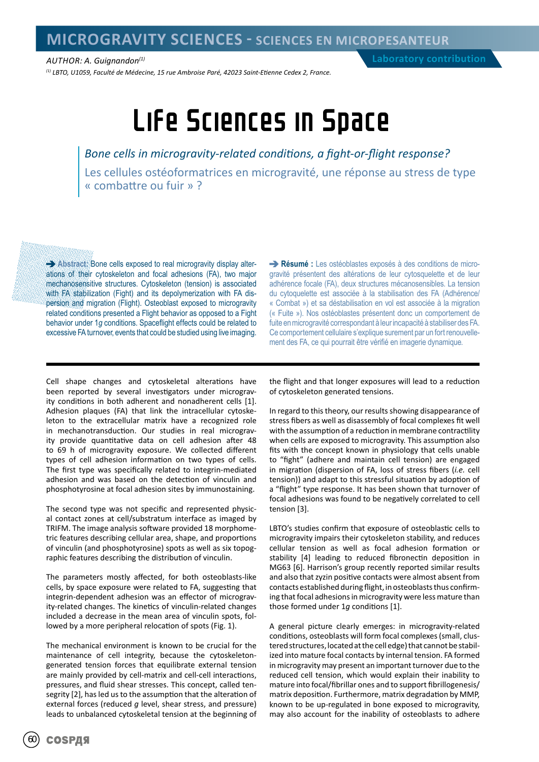*AUTHOR: A. Guignandon(1)*

*(1) LBTO, U1059, Faculté de Médecine, 15 rue Ambroise Paré, 42023 Saint-Etienne Cedex 2, France.*

## Life Sciences in Space

*Bone cells in microgravity-related conditions, a fight-or-flight response?* Les cellules ostéoformatrices en microgravité, une réponse au stress de type « combattre ou fuir » ?

**Abstract:** Bone cells exposed to real microgravity display alterations of their cytoskeleton and focal adhesions (FA), two major mechanosensitive structures. Cytoskeleton (tension) is associated with FA stabilization (Fight) and its depolymerization with FA dispersion and migration (Flight). Osteoblast exposed to microgravity related conditions presented a Flight behavior as opposed to a Fight behavior under 1*g* conditions. Spaceflight effects could be related to excessive FA turnover, events that could be studied using live imaging.

**Résumé :** Les ostéoblastes exposés à des conditions de microgravité présentent des altérations de leur cytosquelette et de leur adhérence focale (FA), deux structures mécanosensibles. La tension du cytoquelette est associée à la stabilisation des FA (Adhérence/ « Combat ») et sa déstabilisation en vol est associée à la migration (« Fuite »). Nos ostéoblastes présentent donc un comportement de fuite en microgravité correspondant à leur incapacité à stabiliser des FA. Ce comportement cellulaire s'explique surement par un fort renouvellement des FA, ce qui pourrait être vérifié en imagerie dynamique.

Cell shape changes and cytoskeletal alterations have been reported by several investigators under microgravity conditions in both adherent and nonadherent cells [1]. Adhesion plaques (FA) that link the intracellular cytoskeleton to the extracellular matrix have a recognized role in mechanotransduction. Our studies in real microgravity provide quantitative data on cell adhesion after 48 to 69 h of microgravity exposure. We collected different types of cell adhesion information on two types of cells. The first type was specifically related to integrin-mediated adhesion and was based on the detection of vinculin and phosphotyrosine at focal adhesion sites by immunostaining.

The second type was not specific and represented physical contact zones at cell/substratum interface as imaged by TRIFM. The image analysis software provided 18 morphometric features describing cellular area, shape, and proportions of vinculin (and phosphotyrosine) spots as well as six topographic features describing the distribution of vinculin.

The parameters mostly affected, for both osteoblasts-like cells, by space exposure were related to FA, suggesting that integrin-dependent adhesion was an effector of microgravity-related changes. The kinetics of vinculin-related changes included a decrease in the mean area of vinculin spots, followed by a more peripheral relocation of spots (Fig. 1).

The mechanical environment is known to be crucial for the maintenance of cell integrity, because the cytoskeletongenerated tension forces that equilibrate external tension are mainly provided by cell-matrix and cell-cell interactions, pressures, and fluid shear stresses. This concept, called tensegrity [2], has led us to the assumption that the alteration of external forces (reduced *g* level, shear stress, and pressure) leads to unbalanced cytoskeletal tension at the beginning of

the flight and that longer exposures will lead to a reduction of cytoskeleton generated tensions.

In regard to this theory, our results showing disappearance of stress fibers as well as disassembly of focal complexes fit well with the assumption of a reduction in membrane contractility when cells are exposed to microgravity. This assumption also fits with the concept known in physiology that cells unable to "fight" (adhere and maintain cell tension) are engaged in migration (dispersion of FA, loss of stress fibers (*i.e.* cell tension)) and adapt to this stressful situation by adoption of a "flight" type response. It has been shown that turnover of focal adhesions was found to be negatively correlated to cell tension [3].

LBTO's studies confirm that exposure of osteoblastic cells to microgravity impairs their cytoskeleton stability, and reduces cellular tension as well as focal adhesion formation or stability [4] leading to reduced fibronectin deposition in MG63 [6]. Harrison's group recently reported similar results and also that zyzin positive contacts were almost absent from contacts established during flight, in osteoblasts thus confirming that focal adhesions in microgravity were less mature than those formed under 1*g* conditions [1].

A general picture clearly emerges: in microgravity-related conditions, osteoblasts will form focal complexes (small, clustered structures, located at the cell edge) that cannot be stabilized into mature focal contacts by internal tension. FA formed in microgravity may present an important turnover due to the reduced cell tension, which would explain their inability to mature into focal/fibrillar ones and to support fibrillogenesis/ matrix deposition. Furthermore, matrix degradation by MMP, known to be up-regulated in bone exposed to microgravity, may also account for the inability of osteoblasts to adhere